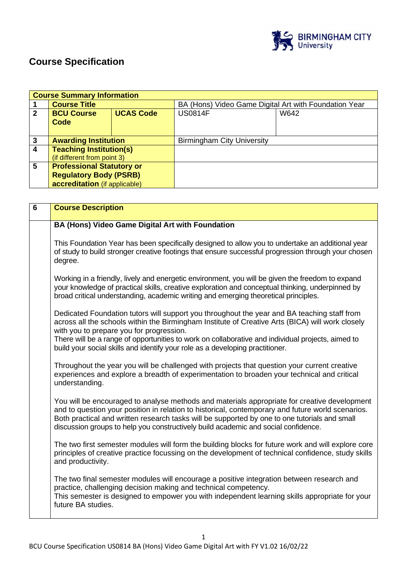

# **Course Specification**

|                | <b>Course Summary Information</b> |                  |                                                       |      |  |
|----------------|-----------------------------------|------------------|-------------------------------------------------------|------|--|
|                | <b>Course Title</b>               |                  | BA (Hons) Video Game Digital Art with Foundation Year |      |  |
| $\overline{2}$ | <b>BCU Course</b>                 | <b>UCAS Code</b> | <b>US0814F</b>                                        | W642 |  |
|                | Code                              |                  |                                                       |      |  |
|                |                                   |                  |                                                       |      |  |
| $\mathbf{3}$   | <b>Awarding Institution</b>       |                  | <b>Birmingham City University</b>                     |      |  |
| $\overline{4}$ | <b>Teaching Institution(s)</b>    |                  |                                                       |      |  |
|                | (if different from point 3)       |                  |                                                       |      |  |
| $5\phantom{1}$ | <b>Professional Statutory or</b>  |                  |                                                       |      |  |
|                | <b>Regulatory Body (PSRB)</b>     |                  |                                                       |      |  |
|                | accreditation (if applicable)     |                  |                                                       |      |  |

| $6\phantom{1}$ | <b>Course Description</b>                                                                                                                                                                                                                                                                                                                                                                                                         |
|----------------|-----------------------------------------------------------------------------------------------------------------------------------------------------------------------------------------------------------------------------------------------------------------------------------------------------------------------------------------------------------------------------------------------------------------------------------|
|                | BA (Hons) Video Game Digital Art with Foundation                                                                                                                                                                                                                                                                                                                                                                                  |
|                | This Foundation Year has been specifically designed to allow you to undertake an additional year<br>of study to build stronger creative footings that ensure successful progression through your chosen<br>degree.                                                                                                                                                                                                                |
|                | Working in a friendly, lively and energetic environment, you will be given the freedom to expand<br>your knowledge of practical skills, creative exploration and conceptual thinking, underpinned by<br>broad critical understanding, academic writing and emerging theoretical principles.                                                                                                                                       |
|                | Dedicated Foundation tutors will support you throughout the year and BA teaching staff from<br>across all the schools within the Birmingham Institute of Creative Arts (BICA) will work closely<br>with you to prepare you for progression.<br>There will be a range of opportunities to work on collaborative and individual projects, aimed to<br>build your social skills and identify your role as a developing practitioner. |
|                | Throughout the year you will be challenged with projects that question your current creative<br>experiences and explore a breadth of experimentation to broaden your technical and critical<br>understanding.                                                                                                                                                                                                                     |
|                | You will be encouraged to analyse methods and materials appropriate for creative development<br>and to question your position in relation to historical, contemporary and future world scenarios.<br>Both practical and written research tasks will be supported by one to one tutorials and small<br>discussion groups to help you constructively build academic and social confidence.                                          |
|                | The two first semester modules will form the building blocks for future work and will explore core<br>principles of creative practice focussing on the development of technical confidence, study skills<br>and productivity.                                                                                                                                                                                                     |
|                | The two final semester modules will encourage a positive integration between research and<br>practice, challenging decision making and technical competency.<br>This semester is designed to empower you with independent learning skills appropriate for your<br>future BA studies.                                                                                                                                              |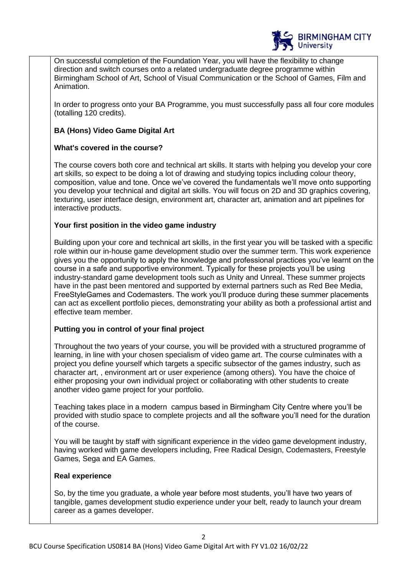

On successful completion of the Foundation Year, you will have the flexibility to change direction and switch courses onto a related undergraduate degree programme within Birmingham School of Art, School of Visual Communication or the School of Games, Film and Animation.

In order to progress onto your BA Programme, you must successfully pass all four core modules (totalling 120 credits).

# **BA (Hons) Video Game Digital Art**

# **What's covered in the course?**

The course covers both core and technical art skills. It starts with helping you develop your core art skills, so expect to be doing a lot of drawing and studying topics including colour theory, composition, value and tone. Once we've covered the fundamentals we'll move onto supporting you develop your technical and digital art skills. You will focus on 2D and 3D graphics covering, texturing, user interface design, environment art, character art, animation and art pipelines for interactive products.

# **Your first position in the video game industry**

Building upon your core and technical art skills, in the first year you will be tasked with a specific role within our in-house game development studio over the summer term. This work experience gives you the opportunity to apply the knowledge and professional practices you've learnt on the course in a safe and supportive environment. Typically for these projects you'll be using industry-standard game development tools such as Unity and Unreal. These summer projects have in the past been mentored and supported by external partners such as Red Bee Media, FreeStyleGames and Codemasters. The work you'll produce during these summer placements can act as excellent portfolio pieces, demonstrating your ability as both a professional artist and effective team member.

# **Putting you in control of your final project**

Throughout the two years of your course, you will be provided with a structured programme of learning, in line with your chosen specialism of video game art. The course culminates with a project you define yourself which targets a specific subsector of the games industry, such as character art, , environment art or user experience (among others). You have the choice of either proposing your own individual project or collaborating with other students to create another video game project for your portfolio.

Teaching takes place in a modern campus based in Birmingham City Centre where you'll be provided with studio space to complete projects and all the software you'll need for the duration of the course.

You will be taught by staff with significant experience in the video game development industry, having worked with game developers including, Free Radical Design, Codemasters, Freestyle Games, Sega and EA Games.

# **Real experience**

So, by the time you graduate, a whole year before most students, you'll have two years of tangible, games development studio experience under your belt, ready to launch your dream career as a games developer.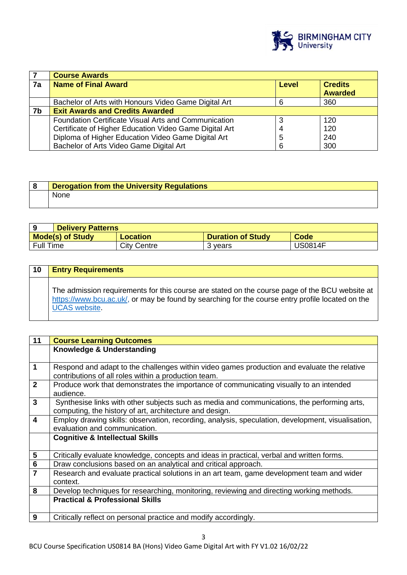

|    | <b>Course Awards</b>                                        |       |                                  |  |
|----|-------------------------------------------------------------|-------|----------------------------------|--|
| 7a | <b>Name of Final Award</b>                                  | Level | <b>Credits</b><br><b>Awarded</b> |  |
|    | Bachelor of Arts with Honours Video Game Digital Art        | 6     | 360                              |  |
| 7b | <b>Exit Awards and Credits Awarded</b>                      |       |                                  |  |
|    | <b>Foundation Certificate Visual Arts and Communication</b> |       | 120                              |  |
|    | Certificate of Higher Education Video Game Digital Art      |       | 120                              |  |
|    | Diploma of Higher Education Video Game Digital Art          | 5     | 240                              |  |
|    | Bachelor of Arts Video Game Digital Art                     | 6     | 300                              |  |

| Derogation from the University Regulations |
|--------------------------------------------|
| None                                       |

|                  | <b>Delivery Patterns</b> |             |                          |                |  |
|------------------|--------------------------|-------------|--------------------------|----------------|--|
|                  | <b>Mode(s) of Study</b>  | Location    | <b>Duration of Study</b> | <b>Code</b>    |  |
| <b>Full Time</b> |                          | City Centre | 3 vears                  | <b>JS0814F</b> |  |

| 10 | <b>Entry Requirements</b>                                                                                                                                                                                                  |
|----|----------------------------------------------------------------------------------------------------------------------------------------------------------------------------------------------------------------------------|
|    | The admission requirements for this course are stated on the course page of the BCU website at<br>https://www.bcu.ac.uk/, or may be found by searching for the course entry profile located on the<br><b>UCAS</b> website. |

| 11                      | <b>Course Learning Outcomes</b>                                                                     |  |  |
|-------------------------|-----------------------------------------------------------------------------------------------------|--|--|
|                         | Knowledge & Understanding                                                                           |  |  |
|                         |                                                                                                     |  |  |
| $\overline{1}$          | Respond and adapt to the challenges within video games production and evaluate the relative         |  |  |
|                         | contributions of all roles within a production team.                                                |  |  |
| $\overline{2}$          | Produce work that demonstrates the importance of communicating visually to an intended<br>audience. |  |  |
| $\mathbf{3}$            | Synthesise links with other subjects such as media and communications, the performing arts,         |  |  |
|                         | computing, the history of art, architecture and design.                                             |  |  |
| $\overline{4}$          |                                                                                                     |  |  |
|                         | Employ drawing skills: observation, recording, analysis, speculation, development, visualisation,   |  |  |
|                         | evaluation and communication.                                                                       |  |  |
|                         | <b>Cognitive &amp; Intellectual Skills</b>                                                          |  |  |
|                         |                                                                                                     |  |  |
| $\overline{\mathbf{5}}$ | Critically evaluate knowledge, concepts and ideas in practical, verbal and written forms.           |  |  |
| $\overline{\mathbf{6}}$ | Draw conclusions based on an analytical and critical approach.                                      |  |  |
| $\overline{7}$          | Research and evaluate practical solutions in an art team, game development team and wider           |  |  |
|                         | context.                                                                                            |  |  |
| 8                       | Develop techniques for researching, monitoring, reviewing and directing working methods.            |  |  |
|                         | <b>Practical &amp; Professional Skills</b>                                                          |  |  |
|                         |                                                                                                     |  |  |
| 9                       | Critically reflect on personal practice and modify accordingly.                                     |  |  |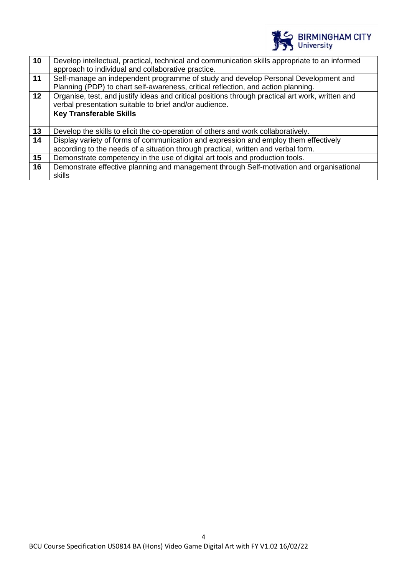

| 10 | Develop intellectual, practical, technical and communication skills appropriate to an informed<br>approach to individual and collaborative practice.                    |
|----|-------------------------------------------------------------------------------------------------------------------------------------------------------------------------|
| 11 | Self-manage an independent programme of study and develop Personal Development and<br>Planning (PDP) to chart self-awareness, critical reflection, and action planning. |
| 12 | Organise, test, and justify ideas and critical positions through practical art work, written and<br>verbal presentation suitable to brief and/or audience.              |
|    | <b>Key Transferable Skills</b>                                                                                                                                          |
| 13 | Develop the skills to elicit the co-operation of others and work collaboratively.                                                                                       |
| 14 | Display variety of forms of communication and expression and employ them effectively                                                                                    |
|    | according to the needs of a situation through practical, written and verbal form.                                                                                       |
| 15 | Demonstrate competency in the use of digital art tools and production tools.                                                                                            |
| 16 | Demonstrate effective planning and management through Self-motivation and organisational                                                                                |
|    | skills                                                                                                                                                                  |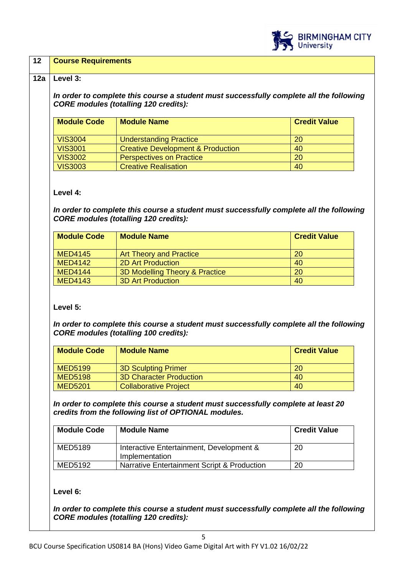

## **12 Course Requirements**

#### **12a Level 3:**

*In order to complete this course a student must successfully complete all the following CORE modules (totalling 120 credits):*

| <b>Module Code</b> | <b>Module Name</b>                           | <b>Credit Value</b> |
|--------------------|----------------------------------------------|---------------------|
| <b>VIS3004</b>     | <b>Understanding Practice</b>                | <b>20</b>           |
| <b>VIS3001</b>     | <b>Creative Development &amp; Production</b> | 40                  |
| <b>VIS3002</b>     | <b>Perspectives on Practice</b>              | 20                  |
| <b>VIS3003</b>     | <b>Creative Realisation</b>                  | 40                  |

#### **Level 4:**

*In order to complete this course a student must successfully complete all the following CORE modules (totalling 120 credits):*

| <b>Module Code</b> | <b>Module Name</b>                        | <b>Credit Value</b> |
|--------------------|-------------------------------------------|---------------------|
| <b>MED4145</b>     | <b>Art Theory and Practice</b>            | <b>20</b>           |
| <b>MED4142</b>     | <b>2D Art Production</b>                  | 40                  |
| <b>MED4144</b>     | <b>3D Modelling Theory &amp; Practice</b> | 20                  |
| <b>MED4143</b>     | <b>3D Art Production</b>                  | 40                  |

**Level 5:**

*In order to complete this course a student must successfully complete all the following CORE modules (totalling 100 credits):*

| <b>Module Code</b> | <b>Module Name</b>             | <b>Credit Value</b> |
|--------------------|--------------------------------|---------------------|
| <b>MED5199</b>     | <b>3D Sculpting Primer</b>     | <b>20</b>           |
| <b>MED5198</b>     | <b>3D Character Production</b> | 40                  |
| <b>MED5201</b>     | <b>Collaborative Project</b>   | 40                  |

*In order to complete this course a student must successfully complete at least 20 credits from the following list of OPTIONAL modules.* 

| <b>Module Code</b> | <b>Module Name</b>                                         | <b>Credit Value</b> |
|--------------------|------------------------------------------------------------|---------------------|
| MED5189            | Interactive Entertainment, Development &<br>Implementation | 20                  |
| MED5192            | Narrative Entertainment Script & Production                | 20                  |

# **Level 6:**

*In order to complete this course a student must successfully complete all the following CORE modules (totalling 120 credits):*

5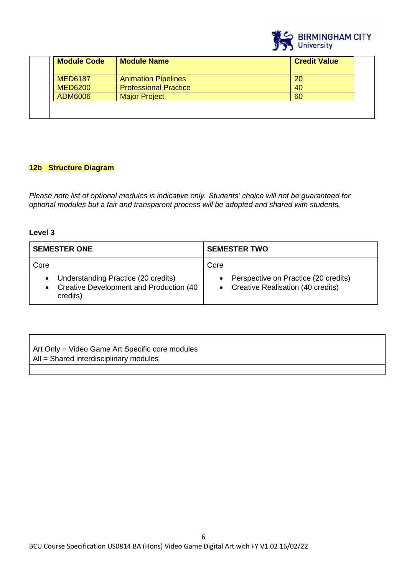

| <b>Module Code</b> | <b>Module Name</b>           | <b>Credit Value</b> |
|--------------------|------------------------------|---------------------|
| <b>MED6187</b>     | <b>Animation Pipelines</b>   | 20                  |
| <b>MED6200</b>     | <b>Professional Practice</b> | 40                  |
| ADM6006            | <b>Major Project</b>         | 60                  |

# **12b Structure Diagram**

*Please note list of optional modules is indicative only. Students' choice will not be guaranteed for optional modules but a fair and transparent process will be adopted and shared with students.*

# **Level 3**

| <b>SEMESTER ONE</b>                                                                            | <b>SEMESTER TWO</b>                                                              |
|------------------------------------------------------------------------------------------------|----------------------------------------------------------------------------------|
| Core                                                                                           | Core                                                                             |
| • Understanding Practice (20 credits)<br>• Creative Development and Production (40<br>credits) | Perspective on Practice (20 credits)<br><b>Creative Realisation (40 credits)</b> |

| Art Only = Video Game Art Specific core modules |  |
|-------------------------------------------------|--|
| $All = Shared$ interdisciplinary modules        |  |
|                                                 |  |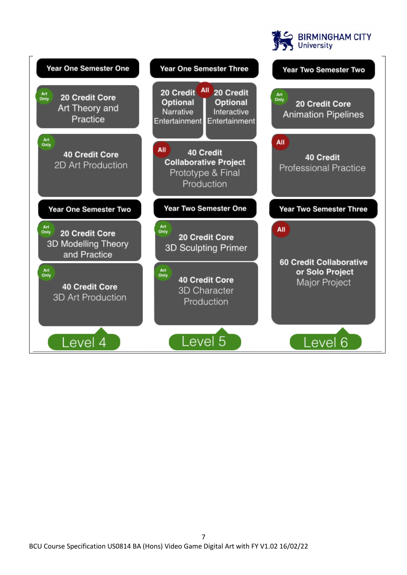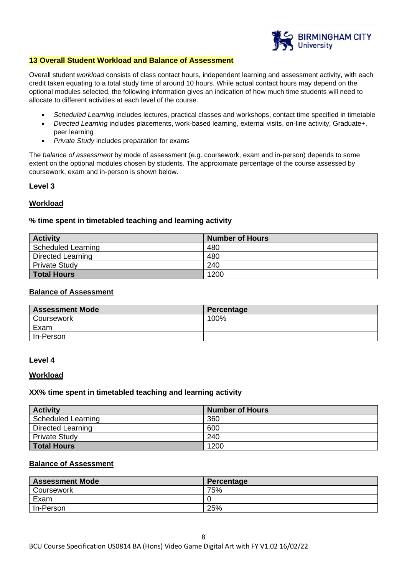

#### **13 Overall Student Workload and Balance of Assessment**

Overall student *workload* consists of class contact hours, independent learning and assessment activity, with each credit taken equating to a total study time of around 10 hours. While actual contact hours may depend on the optional modules selected, the following information gives an indication of how much time students will need to allocate to different activities at each level of the course.

- *Scheduled Learning* includes lectures, practical classes and workshops, contact time specified in timetable
- *Directed Learning* includes placements, work-based learning, external visits, on-line activity, Graduate+, peer learning
- *Private Study* includes preparation for exams

The *balance of assessment* by mode of assessment (e.g. coursework, exam and in-person) depends to some extent on the optional modules chosen by students. The approximate percentage of the course assessed by coursework, exam and in-person is shown below.

#### **Level 3**

#### **Workload**

#### **% time spent in timetabled teaching and learning activity**

| <b>Activity</b>      | <b>Number of Hours</b> |
|----------------------|------------------------|
| Scheduled Learning   | 480                    |
| Directed Learning    | 480                    |
| <b>Private Study</b> | 240                    |
| <b>Total Hours</b>   | 1200                   |

# **Balance of Assessment**

| <b>Assessment Mode</b> | Percentage |
|------------------------|------------|
| Coursework             | 100%       |
| Exam                   |            |
| In-Person              |            |

#### **Level 4**

#### **Workload**

#### **XX% time spent in timetabled teaching and learning activity**

| <b>Activity</b>          | <b>Number of Hours</b> |
|--------------------------|------------------------|
| Scheduled Learning       | 360                    |
| <b>Directed Learning</b> | 600                    |
| <b>Private Study</b>     | 240                    |
| <b>Total Hours</b>       | 1200                   |

#### **Balance of Assessment**

| <b>Assessment Mode</b> | Percentage |
|------------------------|------------|
| Coursework             | 75%        |
| Exam                   |            |
| In-Person              | 25%        |